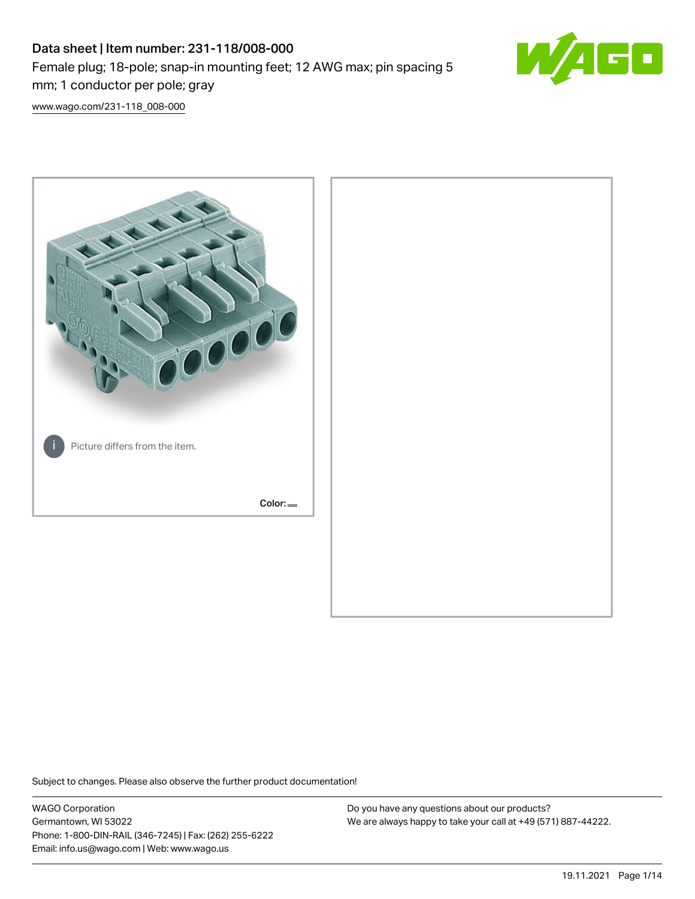# Data sheet | Item number: 231-118/008-000 Female plug; 18-pole; snap-in mounting feet; 12 AWG max; pin spacing 5 mm; 1 conductor per pole; gray



[www.wago.com/231-118\\_008-000](http://www.wago.com/231-118_008-000)



Subject to changes. Please also observe the further product documentation!

WAGO Corporation Germantown, WI 53022 Phone: 1-800-DIN-RAIL (346-7245) | Fax: (262) 255-6222 Email: info.us@wago.com | Web: www.wago.us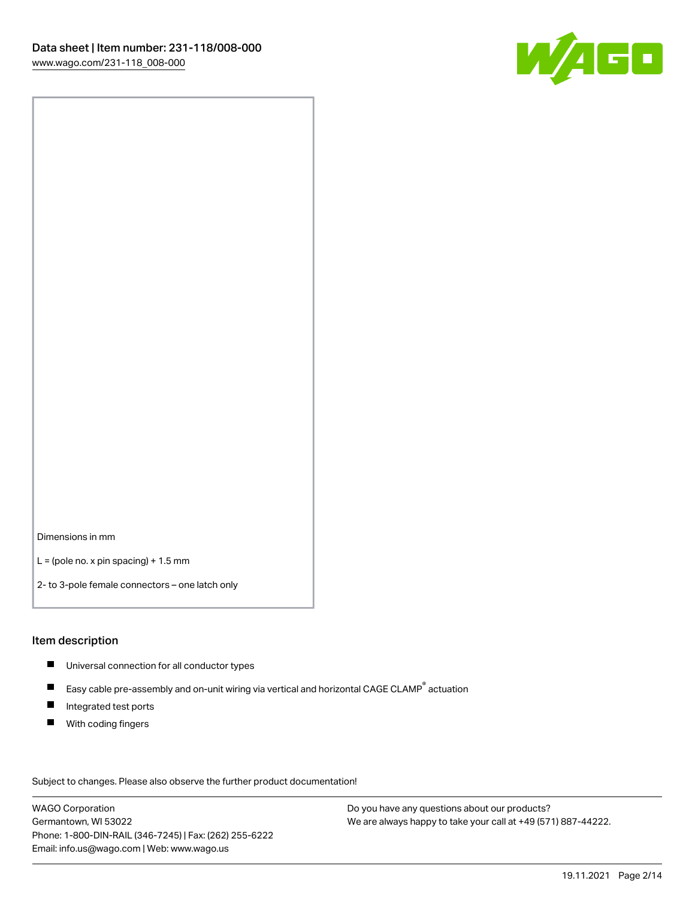

Dimensions in mm

 $L =$  (pole no. x pin spacing) + 1.5 mm

2- to 3-pole female connectors – one latch only

#### Item description

- **Universal connection for all conductor types**
- Easy cable pre-assembly and on-unit wiring via vertical and horizontal CAGE CLAMP<sup>®</sup> actuation  $\blacksquare$
- $\blacksquare$ Integrated test ports
- $\blacksquare$ With coding fingers

Subject to changes. Please also observe the further product documentation! Data

WAGO Corporation Germantown, WI 53022 Phone: 1-800-DIN-RAIL (346-7245) | Fax: (262) 255-6222 Email: info.us@wago.com | Web: www.wago.us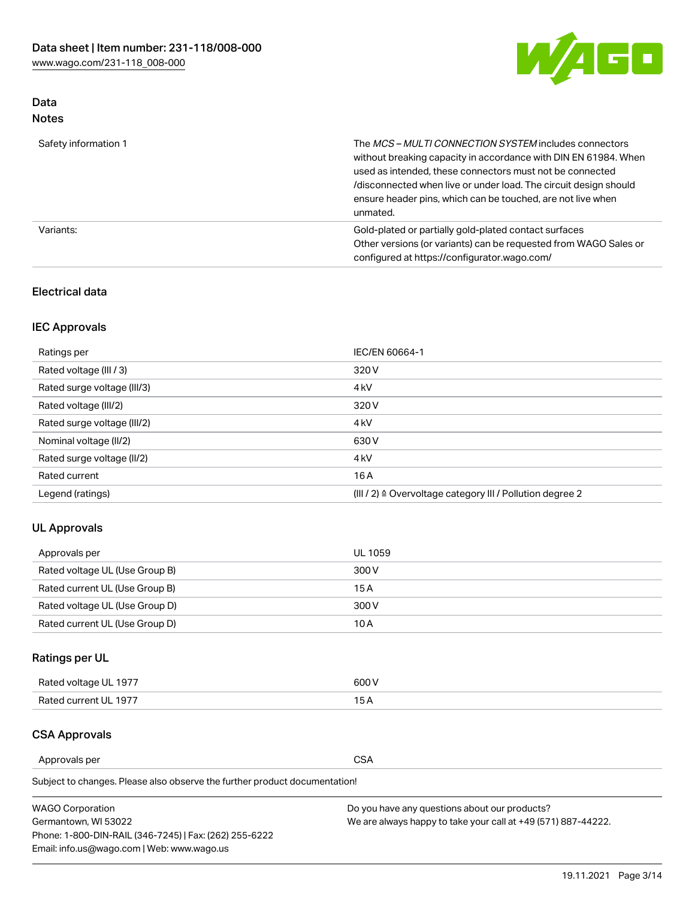

## Data Notes

| Safety information 1 | The MCS-MULTI CONNECTION SYSTEM includes connectors<br>without breaking capacity in accordance with DIN EN 61984. When<br>used as intended, these connectors must not be connected<br>/disconnected when live or under load. The circuit design should<br>ensure header pins, which can be touched, are not live when<br>unmated. |
|----------------------|-----------------------------------------------------------------------------------------------------------------------------------------------------------------------------------------------------------------------------------------------------------------------------------------------------------------------------------|
| Variants:            | Gold-plated or partially gold-plated contact surfaces<br>Other versions (or variants) can be requested from WAGO Sales or<br>configured at https://configurator.wago.com/                                                                                                                                                         |

## Electrical data

## IEC Approvals

| Ratings per                 | IEC/EN 60664-1                                                        |
|-----------------------------|-----------------------------------------------------------------------|
| Rated voltage (III / 3)     | 320 V                                                                 |
| Rated surge voltage (III/3) | 4 <sub>k</sub> V                                                      |
| Rated voltage (III/2)       | 320 V                                                                 |
| Rated surge voltage (III/2) | 4 <sub>k</sub> V                                                      |
| Nominal voltage (II/2)      | 630 V                                                                 |
| Rated surge voltage (II/2)  | 4 <sub>k</sub> V                                                      |
| Rated current               | 16A                                                                   |
| Legend (ratings)            | $(III / 2)$ $\triangle$ Overvoltage category III / Pollution degree 2 |

## UL Approvals

| Approvals per                  | UL 1059 |
|--------------------------------|---------|
| Rated voltage UL (Use Group B) | 300 V   |
| Rated current UL (Use Group B) | 15 A    |
| Rated voltage UL (Use Group D) | 300 V   |
| Rated current UL (Use Group D) | 10 A    |

## Ratings per UL

| Rated voltage UL 1977 | 600 V         |
|-----------------------|---------------|
| Rated current UL 1977 | $\sim$ $\sim$ |

## CSA Approvals

Approvals per CSA

| <b>WAGO Corporation</b>                                | Do you have any questions about our products?                 |
|--------------------------------------------------------|---------------------------------------------------------------|
| Germantown, WI 53022                                   | We are always happy to take your call at +49 (571) 887-44222. |
| Phone: 1-800-DIN-RAIL (346-7245)   Fax: (262) 255-6222 |                                                               |
| Email: info.us@wago.com   Web: www.wago.us             |                                                               |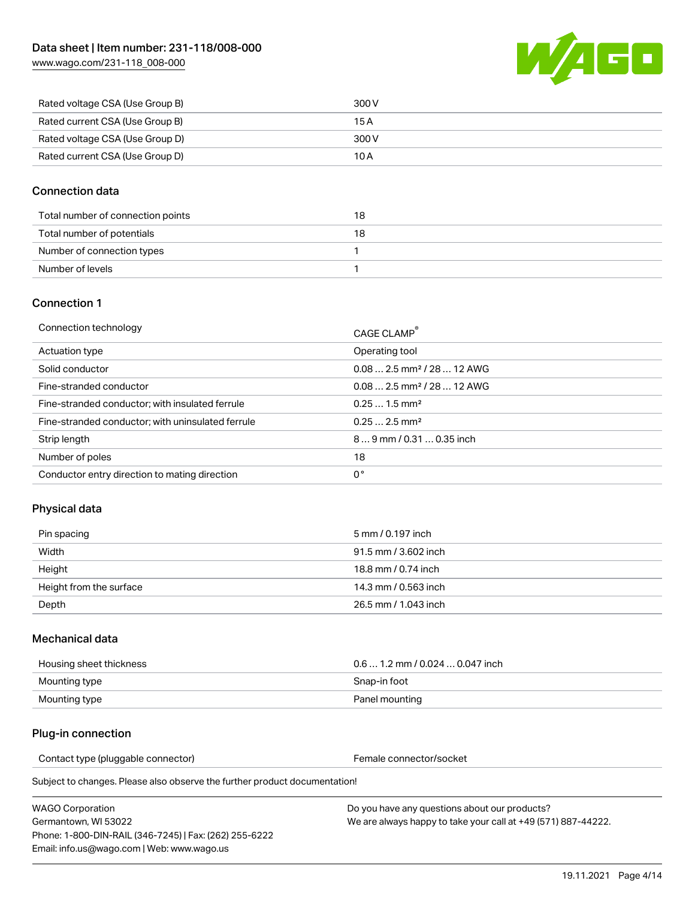[www.wago.com/231-118\\_008-000](http://www.wago.com/231-118_008-000)



| Rated voltage CSA (Use Group B) | 300 V |
|---------------------------------|-------|
| Rated current CSA (Use Group B) | 15 A  |
| Rated voltage CSA (Use Group D) | 300 V |
| Rated current CSA (Use Group D) | 10 A  |

## Connection data

| Total number of connection points | 18 |
|-----------------------------------|----|
| Total number of potentials        | 18 |
| Number of connection types        |    |
| Number of levels                  |    |

#### Connection 1

| Connection technology                             | CAGE CLAMP®                             |
|---------------------------------------------------|-----------------------------------------|
| Actuation type                                    | Operating tool                          |
| Solid conductor                                   | $0.082.5$ mm <sup>2</sup> / 28  12 AWG  |
| Fine-stranded conductor                           | $0.08$ 2.5 mm <sup>2</sup> / 28  12 AWG |
| Fine-stranded conductor; with insulated ferrule   | $0.251.5$ mm <sup>2</sup>               |
| Fine-stranded conductor; with uninsulated ferrule | $0.252.5$ mm <sup>2</sup>               |
| Strip length                                      | $89$ mm $/ 0.310.35$ inch               |
| Number of poles                                   | 18                                      |
| Conductor entry direction to mating direction     | 0°                                      |

## Physical data

| Pin spacing             | 5 mm / 0.197 inch    |
|-------------------------|----------------------|
| Width                   | 91.5 mm / 3.602 inch |
| Height                  | 18.8 mm / 0.74 inch  |
| Height from the surface | 14.3 mm / 0.563 inch |
| Depth                   | 26.5 mm / 1.043 inch |

#### Mechanical data

| Housing sheet thickness | $0.6$ 1.2 mm / 0.024 $\dots$ 0.047 inch |
|-------------------------|-----------------------------------------|
| Mounting type           | Snap-in foot                            |
| Mounting type           | Panel mounting                          |

## Plug-in connection

Contact type (pluggable connector) example a set of the Female connector/socket

Subject to changes. Please also observe the further product documentation!

| WAGO Corporation                                       |  |
|--------------------------------------------------------|--|
| Germantown. WI 53022                                   |  |
| Phone: 1-800-DIN-RAIL (346-7245)   Fax: (262) 255-6222 |  |
| Email: info.us@wago.com   Web: www.wago.us             |  |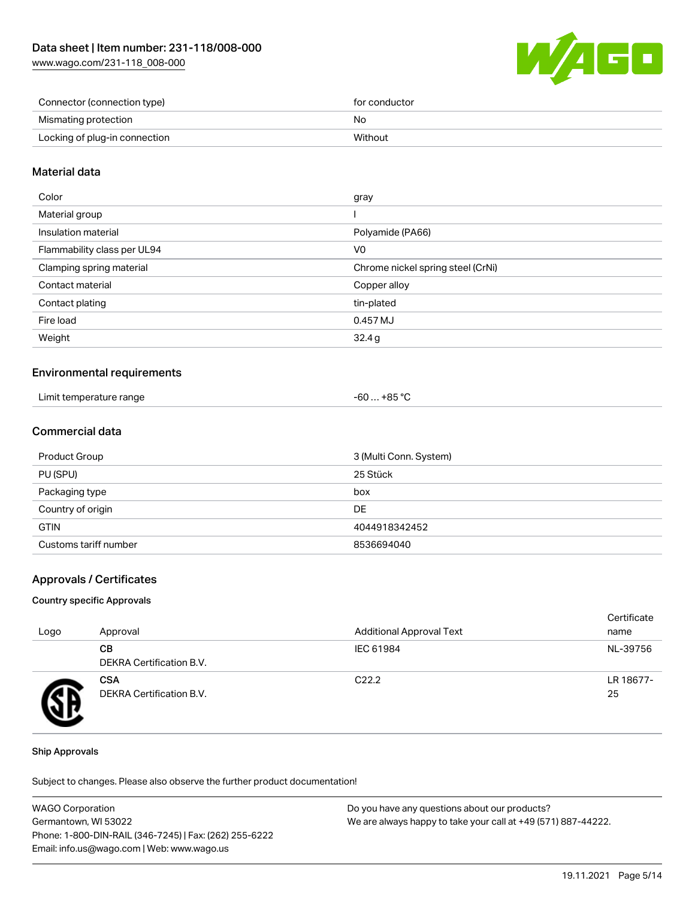[www.wago.com/231-118\\_008-000](http://www.wago.com/231-118_008-000)



| Connector (connection type)   | for conductor |
|-------------------------------|---------------|
| Mismating protection          | No            |
| Locking of plug-in connection | Without       |

## Material data

| Color                       | gray                              |
|-----------------------------|-----------------------------------|
| Material group              |                                   |
| Insulation material         | Polyamide (PA66)                  |
| Flammability class per UL94 | V <sub>0</sub>                    |
| Clamping spring material    | Chrome nickel spring steel (CrNi) |
| Contact material            | Copper alloy                      |
| Contact plating             | tin-plated                        |
| Fire load                   | 0.457 MJ                          |
| Weight                      | 32.4g                             |
|                             |                                   |

#### Environmental requirements

| Limit temperature range | … +85 ° <sup>∩</sup><br>-60 |
|-------------------------|-----------------------------|
|-------------------------|-----------------------------|

## Commercial data

| Product Group         | 3 (Multi Conn. System) |
|-----------------------|------------------------|
| PU (SPU)              | 25 Stück               |
| Packaging type        | box                    |
| Country of origin     | DE                     |
| <b>GTIN</b>           | 4044918342452          |
| Customs tariff number | 8536694040             |

#### Approvals / Certificates

#### Country specific Approvals

| Logo | Approval                               | <b>Additional Approval Text</b> | Certificate<br>name |
|------|----------------------------------------|---------------------------------|---------------------|
|      | CВ<br><b>DEKRA Certification B.V.</b>  | IEC 61984                       | NL-39756            |
|      | <b>CSA</b><br>DEKRA Certification B.V. | C <sub>22.2</sub>               | LR 18677-<br>25     |

#### Ship Approvals

| <b>WAGO Corporation</b>                                | Do you have any questions about our products?                 |
|--------------------------------------------------------|---------------------------------------------------------------|
| Germantown, WI 53022                                   | We are always happy to take your call at +49 (571) 887-44222. |
| Phone: 1-800-DIN-RAIL (346-7245)   Fax: (262) 255-6222 |                                                               |
| Email: info.us@wago.com   Web: www.wago.us             |                                                               |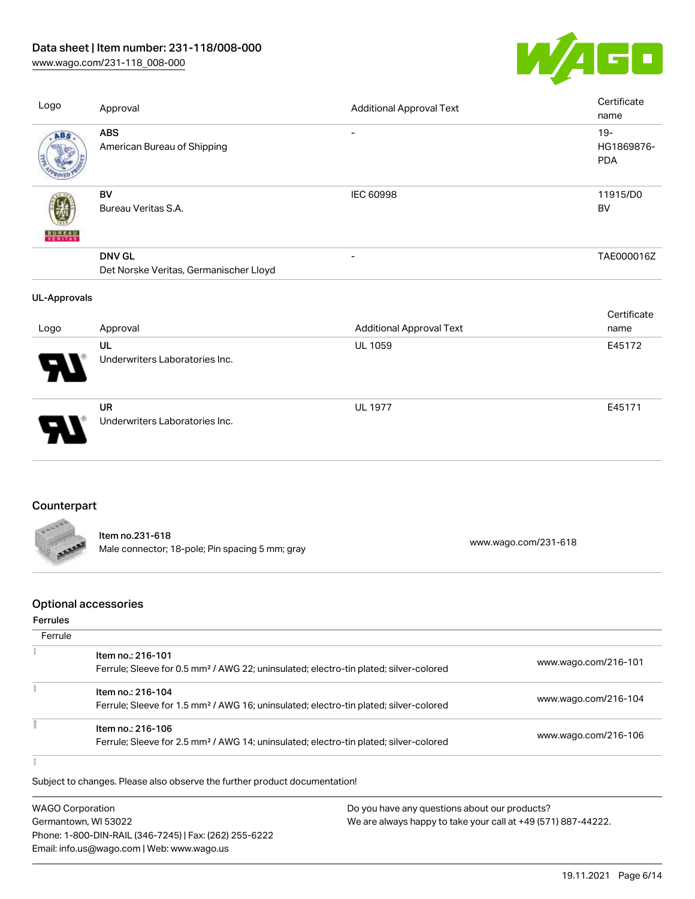# Data sheet | Item number: 231-118/008-000

[www.wago.com/231-118\\_008-000](http://www.wago.com/231-118_008-000)



| Logo                | Approval                                                | <b>Additional Approval Text</b> | Certificate<br>name                |
|---------------------|---------------------------------------------------------|---------------------------------|------------------------------------|
| ABS                 | <b>ABS</b><br>American Bureau of Shipping               | $\overline{\phantom{0}}$        | $19 -$<br>HG1869876-<br><b>PDA</b> |
| <b>BUNEAU</b>       | BV<br>Bureau Veritas S.A.                               | IEC 60998                       | 11915/D0<br>BV                     |
|                     | <b>DNV GL</b><br>Det Norske Veritas, Germanischer Lloyd | $\overline{\phantom{a}}$        | TAE000016Z                         |
| <b>UL-Approvals</b> |                                                         |                                 |                                    |
| Logo                | Approval                                                | <b>Additional Approval Text</b> | Certificate<br>name                |
|                     | UL<br>Underwriters Laboratories Inc.                    | <b>UL 1059</b>                  | E45172                             |
|                     | <b>UR</b><br>Underwriters Laboratories Inc.             | <b>UL 1977</b>                  | E45171                             |

# **Counterpart**

| BOON         |                                                 |                      |
|--------------|-------------------------------------------------|----------------------|
|              | Item no.231-618                                 |                      |
| <b>SAAAA</b> | Male connector; 18-pole; Pin spacing 5 mm; gray | www.wago.com/231-618 |

## Optional accessories

#### Ferrules

| Ferrule |                                                                                                                        |                      |
|---------|------------------------------------------------------------------------------------------------------------------------|----------------------|
|         | Item no.: 216-101<br>Ferrule; Sleeve for 0.5 mm <sup>2</sup> / AWG 22; uninsulated; electro-tin plated; silver-colored | www.wago.com/216-101 |
|         | Item no.: 216-104<br>Ferrule; Sleeve for 1.5 mm <sup>2</sup> / AWG 16; uninsulated; electro-tin plated; silver-colored | www.wago.com/216-104 |
|         | Item no.: 216-106<br>Ferrule; Sleeve for 2.5 mm <sup>2</sup> / AWG 14; uninsulated; electro-tin plated; silver-colored | www.wago.com/216-106 |
|         |                                                                                                                        |                      |

| <b>WAGO Corporation</b>                                | Do you have any questions about our products?                 |
|--------------------------------------------------------|---------------------------------------------------------------|
| Germantown, WI 53022                                   | We are always happy to take your call at +49 (571) 887-44222. |
| Phone: 1-800-DIN-RAIL (346-7245)   Fax: (262) 255-6222 |                                                               |
| Email: info.us@wago.com   Web: www.wago.us             |                                                               |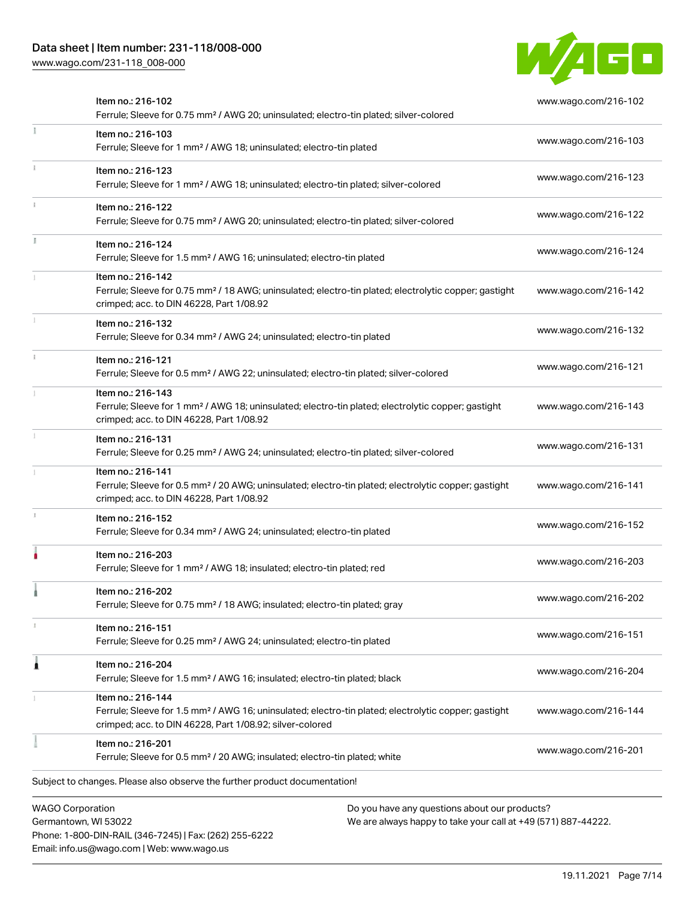Phone: 1-800-DIN-RAIL (346-7245) | Fax: (262) 255-6222

Email: info.us@wago.com | Web: www.wago.us

[www.wago.com/231-118\\_008-000](http://www.wago.com/231-118_008-000)



|                         | Item no.: 216-102<br>Ferrule; Sleeve for 0.75 mm <sup>2</sup> / AWG 20; uninsulated; electro-tin plated; silver-colored                                                                           |                                                                                                                | www.wago.com/216-102 |
|-------------------------|---------------------------------------------------------------------------------------------------------------------------------------------------------------------------------------------------|----------------------------------------------------------------------------------------------------------------|----------------------|
|                         | Item no.: 216-103<br>Ferrule; Sleeve for 1 mm <sup>2</sup> / AWG 18; uninsulated; electro-tin plated                                                                                              |                                                                                                                | www.wago.com/216-103 |
|                         | Item no.: 216-123<br>Ferrule; Sleeve for 1 mm <sup>2</sup> / AWG 18; uninsulated; electro-tin plated; silver-colored                                                                              |                                                                                                                | www.wago.com/216-123 |
|                         | Item no.: 216-122<br>Ferrule; Sleeve for 0.75 mm <sup>2</sup> / AWG 20; uninsulated; electro-tin plated; silver-colored                                                                           |                                                                                                                | www.wago.com/216-122 |
|                         | Item no.: 216-124<br>Ferrule; Sleeve for 1.5 mm <sup>2</sup> / AWG 16; uninsulated; electro-tin plated                                                                                            |                                                                                                                | www.wago.com/216-124 |
|                         | Item no.: 216-142<br>Ferrule; Sleeve for 0.75 mm <sup>2</sup> / 18 AWG; uninsulated; electro-tin plated; electrolytic copper; gastight<br>crimped; acc. to DIN 46228, Part 1/08.92                |                                                                                                                | www.wago.com/216-142 |
|                         | Item no.: 216-132<br>Ferrule; Sleeve for 0.34 mm <sup>2</sup> / AWG 24; uninsulated; electro-tin plated                                                                                           |                                                                                                                | www.wago.com/216-132 |
|                         | Item no.: 216-121<br>Ferrule; Sleeve for 0.5 mm <sup>2</sup> / AWG 22; uninsulated; electro-tin plated; silver-colored                                                                            |                                                                                                                | www.wago.com/216-121 |
|                         | Item no.: 216-143<br>Ferrule; Sleeve for 1 mm <sup>2</sup> / AWG 18; uninsulated; electro-tin plated; electrolytic copper; gastight<br>crimped; acc. to DIN 46228, Part 1/08.92                   |                                                                                                                | www.wago.com/216-143 |
|                         | Item no.: 216-131<br>Ferrule; Sleeve for 0.25 mm <sup>2</sup> / AWG 24; uninsulated; electro-tin plated; silver-colored                                                                           |                                                                                                                | www.wago.com/216-131 |
|                         | Item no.: 216-141<br>Ferrule; Sleeve for 0.5 mm <sup>2</sup> / 20 AWG; uninsulated; electro-tin plated; electrolytic copper; gastight<br>crimped; acc. to DIN 46228, Part 1/08.92                 |                                                                                                                | www.wago.com/216-141 |
|                         | Item no.: 216-152<br>Ferrule; Sleeve for 0.34 mm <sup>2</sup> / AWG 24; uninsulated; electro-tin plated                                                                                           |                                                                                                                | www.wago.com/216-152 |
|                         | Item no.: 216-203<br>Ferrule; Sleeve for 1 mm <sup>2</sup> / AWG 18; insulated; electro-tin plated; red                                                                                           |                                                                                                                | www.wago.com/216-203 |
|                         | Item no.: 216-202<br>Ferrule; Sleeve for 0.75 mm <sup>2</sup> / 18 AWG; insulated; electro-tin plated; gray                                                                                       |                                                                                                                | www.wago.com/216-202 |
|                         | Item no.: 216-151<br>Ferrule; Sleeve for 0.25 mm <sup>2</sup> / AWG 24; uninsulated; electro-tin plated                                                                                           |                                                                                                                | www.wago.com/216-151 |
|                         | Item no.: 216-204<br>Ferrule; Sleeve for 1.5 mm <sup>2</sup> / AWG 16; insulated; electro-tin plated; black                                                                                       |                                                                                                                | www.wago.com/216-204 |
|                         | Item no.: 216-144<br>Ferrule; Sleeve for 1.5 mm <sup>2</sup> / AWG 16; uninsulated; electro-tin plated; electrolytic copper; gastight<br>crimped; acc. to DIN 46228, Part 1/08.92; silver-colored |                                                                                                                | www.wago.com/216-144 |
|                         | Item no.: 216-201<br>Ferrule; Sleeve for 0.5 mm <sup>2</sup> / 20 AWG; insulated; electro-tin plated; white                                                                                       |                                                                                                                | www.wago.com/216-201 |
|                         | Subject to changes. Please also observe the further product documentation!                                                                                                                        |                                                                                                                |                      |
| <b>WAGO Corporation</b> | Germantown, WI 53022                                                                                                                                                                              | Do you have any questions about our products?<br>We are always happy to take your call at +49 (571) 887-44222. |                      |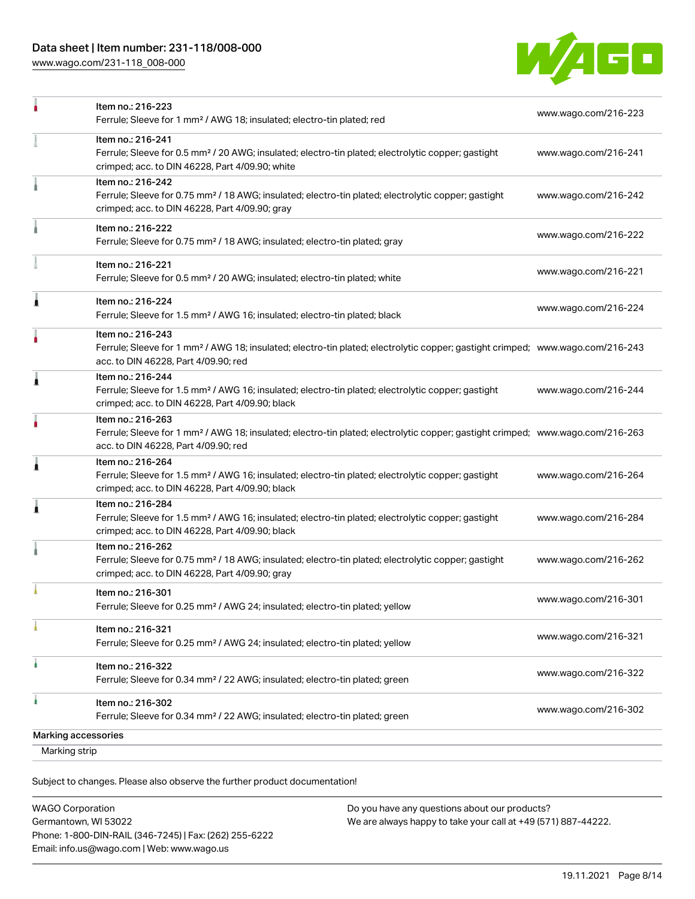## Data sheet | Item number: 231-118/008-000

[www.wago.com/231-118\\_008-000](http://www.wago.com/231-118_008-000)



| Marking strip       |                                                                                                                                                                                                         |                      |
|---------------------|---------------------------------------------------------------------------------------------------------------------------------------------------------------------------------------------------------|----------------------|
| Marking accessories |                                                                                                                                                                                                         |                      |
| à                   | Item no.: 216-302<br>Ferrule; Sleeve for 0.34 mm <sup>2</sup> / 22 AWG; insulated; electro-tin plated; green                                                                                            | www.wago.com/216-302 |
|                     | Item no.: 216-322<br>Ferrule; Sleeve for 0.34 mm <sup>2</sup> / 22 AWG; insulated; electro-tin plated; green                                                                                            | www.wago.com/216-322 |
|                     | Item no.: 216-321<br>Ferrule; Sleeve for 0.25 mm <sup>2</sup> / AWG 24; insulated; electro-tin plated; yellow                                                                                           | www.wago.com/216-321 |
|                     | Item no.: 216-301<br>Ferrule; Sleeve for 0.25 mm <sup>2</sup> / AWG 24; insulated; electro-tin plated; yellow                                                                                           | www.wago.com/216-301 |
|                     | Item no.: 216-262<br>Ferrule; Sleeve for 0.75 mm <sup>2</sup> / 18 AWG; insulated; electro-tin plated; electrolytic copper; gastight<br>crimped; acc. to DIN 46228, Part 4/09.90; gray                  | www.wago.com/216-262 |
| 1                   | Item no.: 216-284<br>Ferrule; Sleeve for 1.5 mm <sup>2</sup> / AWG 16; insulated; electro-tin plated; electrolytic copper; gastight<br>crimped; acc. to DIN 46228, Part 4/09.90; black                  | www.wago.com/216-284 |
| 1                   | Item no.: 216-264<br>Ferrule; Sleeve for 1.5 mm <sup>2</sup> / AWG 16; insulated; electro-tin plated; electrolytic copper; gastight<br>crimped; acc. to DIN 46228, Part 4/09.90; black                  | www.wago.com/216-264 |
|                     | Item no.: 216-263<br>Ferrule; Sleeve for 1 mm <sup>2</sup> / AWG 18; insulated; electro-tin plated; electrolytic copper; gastight crimped; www.wago.com/216-263<br>acc. to DIN 46228, Part 4/09.90; red |                      |
| л                   | Item no.: 216-244<br>Ferrule; Sleeve for 1.5 mm <sup>2</sup> / AWG 16; insulated; electro-tin plated; electrolytic copper; gastight<br>crimped; acc. to DIN 46228, Part 4/09.90; black                  | www.wago.com/216-244 |
|                     | Item no.: 216-243<br>Ferrule; Sleeve for 1 mm <sup>2</sup> / AWG 18; insulated; electro-tin plated; electrolytic copper; gastight crimped; www.wago.com/216-243<br>acc. to DIN 46228, Part 4/09.90; red |                      |
| Â                   | Item no.: 216-224<br>Ferrule; Sleeve for 1.5 mm <sup>2</sup> / AWG 16; insulated; electro-tin plated; black                                                                                             | www.wago.com/216-224 |
|                     | Item no.: 216-221<br>Ferrule; Sleeve for 0.5 mm <sup>2</sup> / 20 AWG; insulated; electro-tin plated; white                                                                                             | www.wago.com/216-221 |
|                     | Item no.: 216-222<br>Ferrule; Sleeve for 0.75 mm <sup>2</sup> / 18 AWG; insulated; electro-tin plated; gray                                                                                             | www.wago.com/216-222 |
|                     | Item no.: 216-242<br>Ferrule; Sleeve for 0.75 mm <sup>2</sup> / 18 AWG; insulated; electro-tin plated; electrolytic copper; gastight<br>crimped; acc. to DIN 46228, Part 4/09.90; gray                  | www.wago.com/216-242 |
|                     | Item no.: 216-241<br>Ferrule; Sleeve for 0.5 mm <sup>2</sup> / 20 AWG; insulated; electro-tin plated; electrolytic copper; gastight<br>crimped; acc. to DIN 46228, Part 4/09.90; white                  | www.wago.com/216-241 |
|                     | Item no.: 216-223<br>Ferrule; Sleeve for 1 mm <sup>2</sup> / AWG 18; insulated; electro-tin plated; red                                                                                                 | www.wago.com/216-223 |

Subject to changes. Please also observe the further product documentation!

| <b>WAGO Corporation</b>                                |
|--------------------------------------------------------|
| Germantown, WI 53022                                   |
| Phone: 1-800-DIN-RAIL (346-7245)   Fax: (262) 255-6222 |
| Email: info.us@wago.com   Web: www.wago.us             |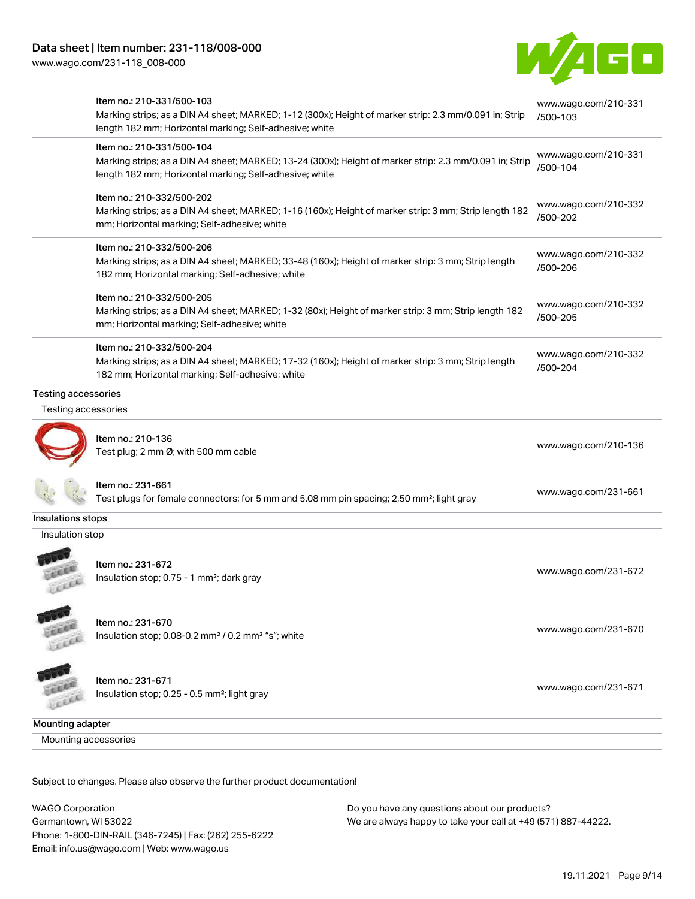[www.wago.com/231-118\\_008-000](http://www.wago.com/231-118_008-000)



|                            | Item no.: 210-331/500-103<br>Marking strips; as a DIN A4 sheet; MARKED; 1-12 (300x); Height of marker strip: 2.3 mm/0.091 in; Strip<br>length 182 mm; Horizontal marking; Self-adhesive; white  | www.wago.com/210-331<br>/500-103 |
|----------------------------|-------------------------------------------------------------------------------------------------------------------------------------------------------------------------------------------------|----------------------------------|
|                            | Item no.: 210-331/500-104<br>Marking strips; as a DIN A4 sheet; MARKED; 13-24 (300x); Height of marker strip: 2.3 mm/0.091 in; Strip<br>length 182 mm; Horizontal marking; Self-adhesive; white | www.wago.com/210-331<br>/500-104 |
|                            | Item no.: 210-332/500-202<br>Marking strips; as a DIN A4 sheet; MARKED; 1-16 (160x); Height of marker strip: 3 mm; Strip length 182<br>mm; Horizontal marking; Self-adhesive; white             | www.wago.com/210-332<br>/500-202 |
|                            | Item no.: 210-332/500-206<br>Marking strips; as a DIN A4 sheet; MARKED; 33-48 (160x); Height of marker strip: 3 mm; Strip length<br>182 mm; Horizontal marking; Self-adhesive; white            | www.wago.com/210-332<br>/500-206 |
|                            | Item no.: 210-332/500-205<br>Marking strips; as a DIN A4 sheet; MARKED; 1-32 (80x); Height of marker strip: 3 mm; Strip length 182<br>mm; Horizontal marking; Self-adhesive; white              | www.wago.com/210-332<br>/500-205 |
|                            | Item no.: 210-332/500-204<br>Marking strips; as a DIN A4 sheet; MARKED; 17-32 (160x); Height of marker strip: 3 mm; Strip length<br>182 mm; Horizontal marking; Self-adhesive; white            | www.wago.com/210-332<br>/500-204 |
| <b>Testing accessories</b> |                                                                                                                                                                                                 |                                  |
| Testing accessories        |                                                                                                                                                                                                 |                                  |
|                            | Item no.: 210-136<br>Test plug; 2 mm Ø; with 500 mm cable                                                                                                                                       | www.wago.com/210-136             |
|                            | Item no.: 231-661<br>Test plugs for female connectors; for 5 mm and 5.08 mm pin spacing; 2,50 mm <sup>2</sup> ; light gray                                                                      | www.wago.com/231-661             |
| Insulations stops          |                                                                                                                                                                                                 |                                  |
| Insulation stop            |                                                                                                                                                                                                 |                                  |
|                            | Item no.: 231-672<br>Insulation stop; 0.75 - 1 mm <sup>2</sup> ; dark gray                                                                                                                      | www.wago.com/231-672             |
| Lecci                      | Item no.: 231-670<br>Insulation stop; 0.08-0.2 mm <sup>2</sup> / 0.2 mm <sup>2</sup> "s"; white                                                                                                 | www.wago.com/231-670             |
|                            | Item no.: 231-671<br>Insulation stop; 0.25 - 0.5 mm <sup>2</sup> ; light gray                                                                                                                   | www.wago.com/231-671             |
| Mounting adapter           |                                                                                                                                                                                                 |                                  |
|                            |                                                                                                                                                                                                 |                                  |

WAGO Corporation Germantown, WI 53022 Phone: 1-800-DIN-RAIL (346-7245) | Fax: (262) 255-6222 Email: info.us@wago.com | Web: www.wago.us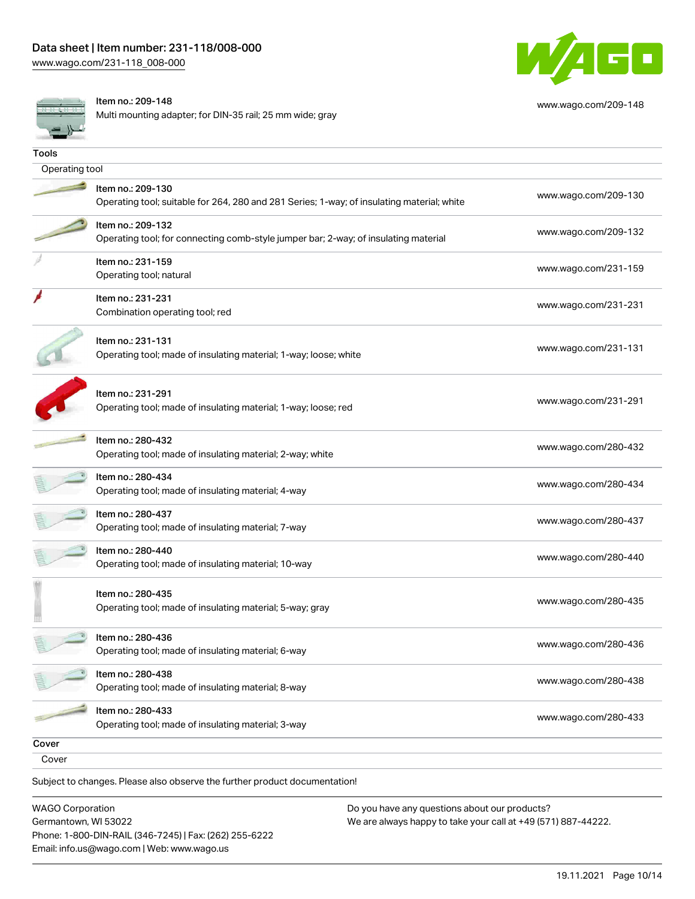

[www.wago.com/209-148](http://www.wago.com/209-148)

Item no.: 209-148

Multi mounting adapter; for DIN-35 rail; 25 mm wide; gray

| <b>Tools</b>   |                                                                                                                 |                      |
|----------------|-----------------------------------------------------------------------------------------------------------------|----------------------|
| Operating tool |                                                                                                                 |                      |
|                | Item no.: 209-130<br>Operating tool; suitable for 264, 280 and 281 Series; 1-way; of insulating material; white | www.wago.com/209-130 |
|                | Item no.: 209-132<br>Operating tool; for connecting comb-style jumper bar; 2-way; of insulating material        | www.wago.com/209-132 |
|                | Item no.: 231-159<br>Operating tool; natural                                                                    | www.wago.com/231-159 |
|                | Item no.: 231-231<br>Combination operating tool; red                                                            | www.wago.com/231-231 |
|                | Item no.: 231-131<br>Operating tool; made of insulating material; 1-way; loose; white                           | www.wago.com/231-131 |
|                | Item no.: 231-291<br>Operating tool; made of insulating material; 1-way; loose; red                             | www.wago.com/231-291 |
|                | Item no.: 280-432<br>Operating tool; made of insulating material; 2-way; white                                  | www.wago.com/280-432 |
|                | Item no.: 280-434<br>Operating tool; made of insulating material; 4-way                                         | www.wago.com/280-434 |
|                | Item no.: 280-437<br>Operating tool; made of insulating material; 7-way                                         | www.wago.com/280-437 |
|                | Item no.: 280-440<br>Operating tool; made of insulating material; 10-way                                        | www.wago.com/280-440 |
|                | Item no.: 280-435<br>Operating tool; made of insulating material; 5-way; gray                                   | www.wago.com/280-435 |
|                | Item no.: 280-436<br>Operating tool; made of insulating material; 6-way                                         | www.wago.com/280-436 |
|                | Item no.: 280-438<br>Operating tool; made of insulating material; 8-way                                         | www.wago.com/280-438 |
|                | Item no.: 280-433<br>Operating tool; made of insulating material; 3-way                                         | www.wago.com/280-433 |
| Cover          |                                                                                                                 |                      |
| Cover          |                                                                                                                 |                      |
|                | Subject to changes. Please also observe the further product documentation!                                      |                      |

WAGO Corporation Germantown, WI 53022 Phone: 1-800-DIN-RAIL (346-7245) | Fax: (262) 255-6222 Email: info.us@wago.com | Web: www.wago.us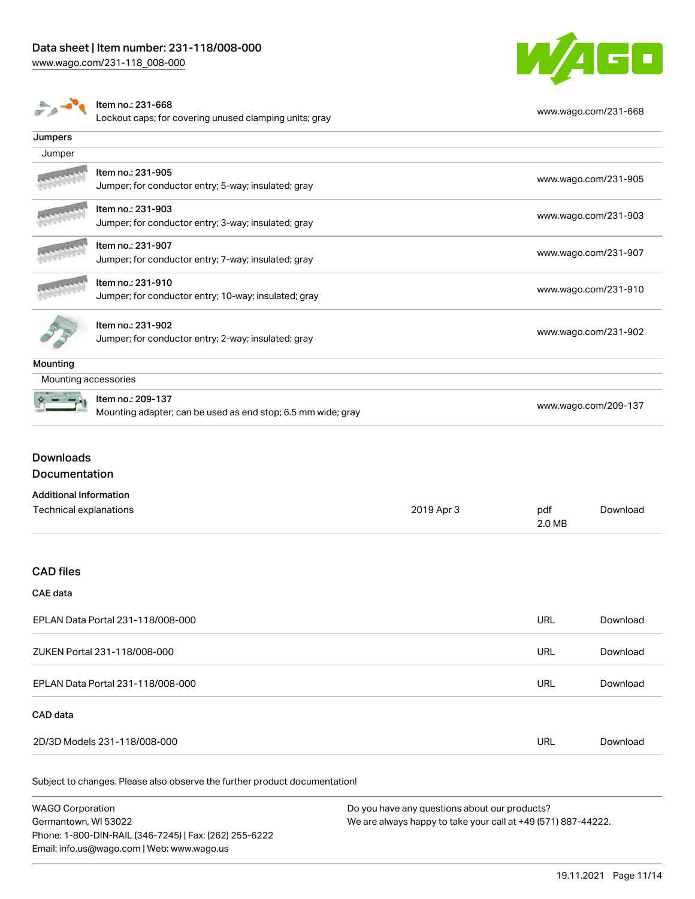



Lockout caps; for covering unused clamping units; gray [www.wago.com/231-668](http://www.wago.com/231-668)

|                               | Loonoat cape, ior covering anacoa ciamping anito, grap                                           |            |                      |                      |
|-------------------------------|--------------------------------------------------------------------------------------------------|------------|----------------------|----------------------|
| Jumpers                       |                                                                                                  |            |                      |                      |
| Jumper                        |                                                                                                  |            |                      |                      |
|                               | Item no.: 231-905<br>Jumper; for conductor entry; 5-way; insulated; gray                         |            |                      | www.wago.com/231-905 |
|                               | Item no.: 231-903<br>Jumper; for conductor entry; 3-way; insulated; gray                         |            |                      | www.wago.com/231-903 |
|                               | Item no.: 231-907<br>Jumper; for conductor entry; 7-way; insulated; gray                         |            |                      | www.wago.com/231-907 |
|                               | Item no.: 231-910<br>Jumper; for conductor entry; 10-way; insulated; gray                        |            |                      | www.wago.com/231-910 |
|                               | Item no.: 231-902<br>www.wago.com/231-902<br>Jumper; for conductor entry; 2-way; insulated; gray |            |                      |                      |
| <b>Mounting</b>               |                                                                                                  |            |                      |                      |
| Mounting accessories          |                                                                                                  |            |                      |                      |
|                               | Item no.: 209-137<br>Mounting adapter; can be used as end stop; 6.5 mm wide; gray                |            | www.wago.com/209-137 |                      |
| <b>Downloads</b>              |                                                                                                  |            |                      |                      |
| Documentation                 |                                                                                                  |            |                      |                      |
| <b>Additional Information</b> |                                                                                                  |            |                      |                      |
| Technical explanations        |                                                                                                  | 2019 Apr 3 | pdf<br>2.0 MB        | Download             |
| <b>CAD files</b>              |                                                                                                  |            |                      |                      |
| <b>CAE</b> data               |                                                                                                  |            |                      |                      |

| EPLAN Data Portal 231-118/008-000 | URL | Download |
|-----------------------------------|-----|----------|
| ZUKEN Portal 231-118/008-000      | URL | Download |
| EPLAN Data Portal 231-118/008-000 | URL | Download |
| CAD data                          |     |          |
| 2D/3D Models 231-118/008-000      |     | Download |

| <b>WAGO Corporation</b>                                | Do you have any questions about our products?                 |  |
|--------------------------------------------------------|---------------------------------------------------------------|--|
| Germantown, WI 53022                                   | We are always happy to take your call at +49 (571) 887-44222. |  |
| Phone: 1-800-DIN-RAIL (346-7245)   Fax: (262) 255-6222 |                                                               |  |
| Email: info.us@wago.com   Web: www.wago.us             |                                                               |  |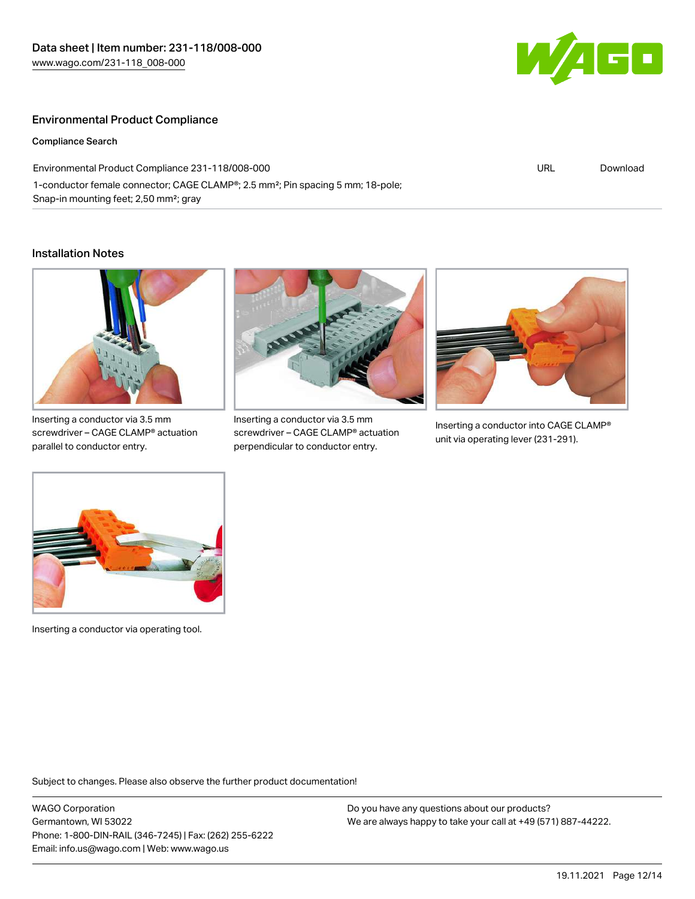

#### Environmental Product Compliance

Compliance Search

Environmental Product Compliance 231-118/008-000 1-conductor female connector; CAGE CLAMP®; 2.5 mm²; Pin spacing 5 mm; 18-pole; Snap-in mounting feet; 2,50 mm²; gray

URL [Download](https://www.wago.com/global/d/ComplianceLinkMediaContainer_231-118_008-000)

#### Installation Notes



Inserting a conductor via 3.5 mm screwdriver – CAGE CLAMP® actuation parallel to conductor entry.



Inserting a conductor via 3.5 mm screwdriver – CAGE CLAMP® actuation perpendicular to conductor entry.



Inserting a conductor into CAGE CLAMP® unit via operating lever (231-291).



Inserting a conductor via operating tool.

Subject to changes. Please also observe the further product documentation!

WAGO Corporation Germantown, WI 53022 Phone: 1-800-DIN-RAIL (346-7245) | Fax: (262) 255-6222 Email: info.us@wago.com | Web: www.wago.us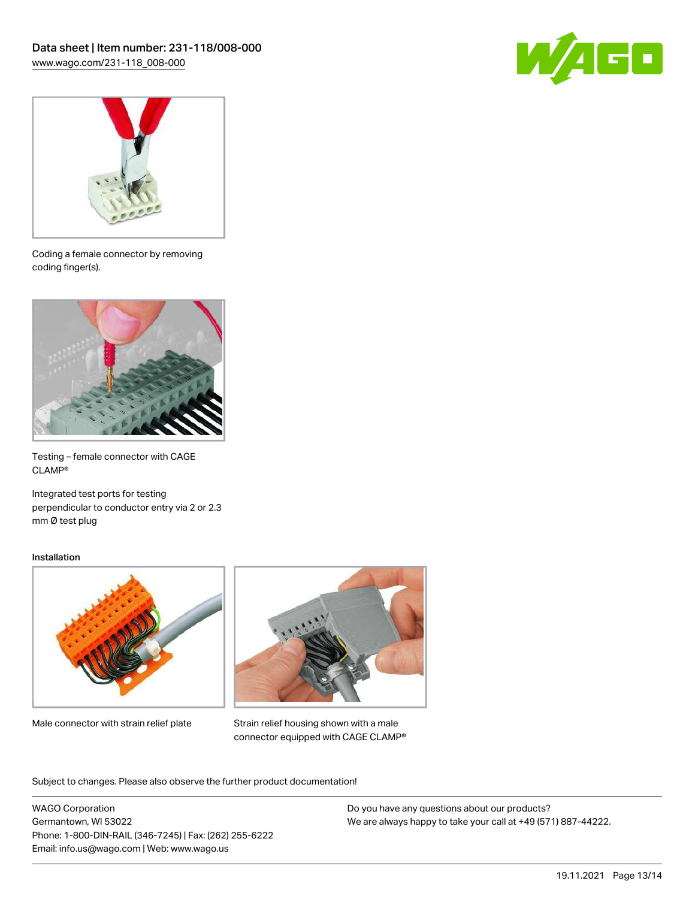



Coding a female connector by removing coding finger(s).



Testing – female connector with CAGE CLAMP®

Integrated test ports for testing perpendicular to conductor entry via 2 or 2.3 mm Ø test plug

#### Installation



Male connector with strain relief plate



Strain relief housing shown with a male connector equipped with CAGE CLAMP®

Subject to changes. Please also observe the further product documentation!

WAGO Corporation Germantown, WI 53022 Phone: 1-800-DIN-RAIL (346-7245) | Fax: (262) 255-6222 Email: info.us@wago.com | Web: www.wago.us